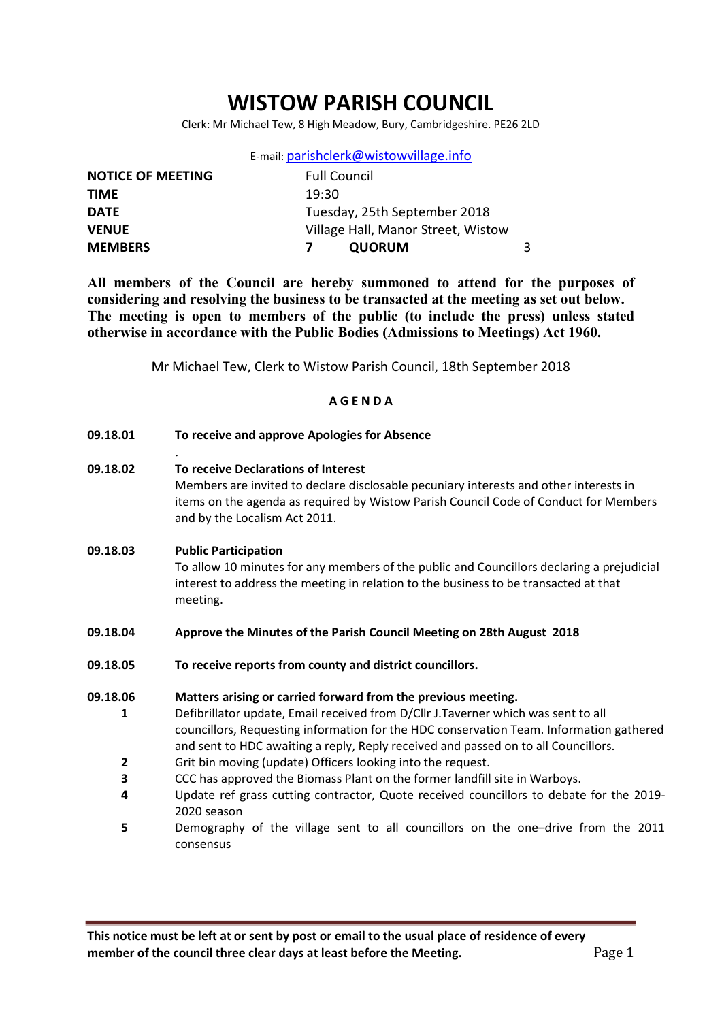# WISTOW PARISH COUNCIL

Clerk: Mr Michael Tew, 8 High Meadow, Bury, Cambridgeshire. PE26 2LD

|  | E-mail: parishclerk@wistowvillage.info |
|--|----------------------------------------|
|--|----------------------------------------|

| <b>NOTICE OF MEETING</b> | <b>Full Council</b>                |  |
|--------------------------|------------------------------------|--|
| <b>TIME</b>              | 19:30                              |  |
| <b>DATE</b>              | Tuesday, 25th September 2018       |  |
| <b>VENUE</b>             | Village Hall, Manor Street, Wistow |  |
| <b>MEMBERS</b>           | <b>QUORUM</b>                      |  |

All members of the Council are hereby summoned to attend for the purposes of considering and resolving the business to be transacted at the meeting as set out below. The meeting is open to members of the public (to include the press) unless stated otherwise in accordance with the Public Bodies (Admissions to Meetings) Act 1960.

Mr Michael Tew, Clerk to Wistow Parish Council, 18th September 2018

#### A G E N D A

09.18.01 To receive and approve Apologies for Absence

.

09.18.02 To receive Declarations of Interest Members are invited to declare disclosable pecuniary interests and other interests in items on the agenda as required by Wistow Parish Council Code of Conduct for Members and by the Localism Act 2011.

# 09.18.03 Public Participation To allow 10 minutes for any members of the public and Councillors declaring a prejudicial interest to address the meeting in relation to the business to be transacted at that meeting.

- 09.18.04 Approve the Minutes of the Parish Council Meeting on 28th August 2018
- 09.18.05 To receive reports from county and district councillors.

#### 09.18.06 Matters arising or carried forward from the previous meeting.

- 1 Defibrillator update, Email received from D/Cllr J.Taverner which was sent to all councillors, Requesting information for the HDC conservation Team. Information gathered and sent to HDC awaiting a reply, Reply received and passed on to all Councillors.
- 2 Grit bin moving (update) Officers looking into the request.
- 3 CCC has approved the Biomass Plant on the former landfill site in Warboys.
- 4 Update ref grass cutting contractor, Quote received councillors to debate for the 2019- 2020 season
- 5 Demography of the village sent to all councillors on the one–drive from the 2011 consensus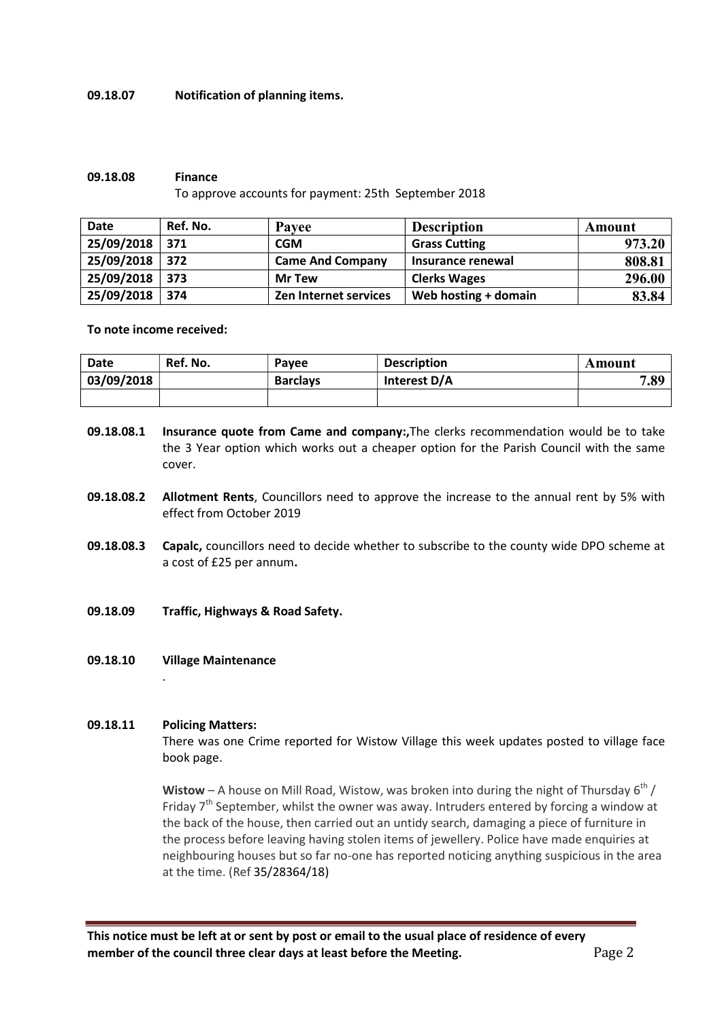#### 09.18.07 Notification of planning items.

#### 09.18.08 Finance

To approve accounts for payment: 25th September 2018

| <b>Date</b> | Ref. No. | Payee                   | <b>Description</b>   | Amount |
|-------------|----------|-------------------------|----------------------|--------|
| 25/09/2018  | 371      | <b>CGM</b>              | <b>Grass Cutting</b> | 973.20 |
| 25/09/2018  | 372      | <b>Came And Company</b> | Insurance renewal    | 808.81 |
| 25/09/2018  | 373      | <b>Mr Tew</b>           | <b>Clerks Wages</b>  | 296.00 |
| 25/09/2018  | 374      | Zen Internet services   | Web hosting + domain | 83.84  |

#### To note income received:

| <b>Date</b> | Ref. No. | Pavee           | <b>Description</b> | Amount |
|-------------|----------|-----------------|--------------------|--------|
| 03/09/2018  |          | <b>Barclays</b> | Interest D/A       | 7.89   |
|             |          |                 |                    |        |

- 09.18.08.1 Insurance quote from Came and company:,The clerks recommendation would be to take the 3 Year option which works out a cheaper option for the Parish Council with the same cover.
- 09.18.08.2 Allotment Rents, Councillors need to approve the increase to the annual rent by 5% with effect from October 2019
- 09.18.08.3 Capalc, councillors need to decide whether to subscribe to the county wide DPO scheme at a cost of £25 per annum.
- 09.18.09 Traffic, Highways & Road Safety.
- 09.18.10 Village Maintenance

## 09.18.11 Policing Matters:

.

There was one Crime reported for Wistow Village this week updates posted to village face book page.

Wistow – A house on Mill Road, Wistow, was broken into during the night of Thursday  $6^{th}$  / Friday  $7<sup>th</sup>$  September, whilst the owner was away. Intruders entered by forcing a window at the back of the house, then carried out an untidy search, damaging a piece of furniture in the process before leaving having stolen items of jewellery. Police have made enquiries at neighbouring houses but so far no-one has reported noticing anything suspicious in the area at the time. (Ref 35/28364/18)